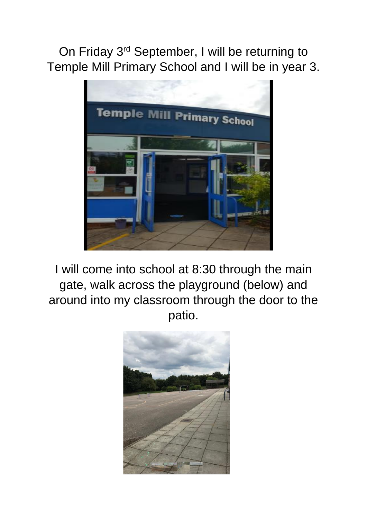On Friday 3rd September, I will be returning to Temple Mill Primary School and I will be in year 3.



I will come into school at 8:30 through the main gate, walk across the playground (below) and around into my classroom through the door to the patio.

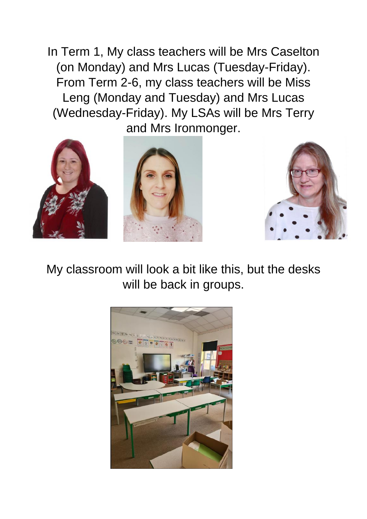In Term 1, My class teachers will be Mrs Caselton (on Monday) and Mrs Lucas (Tuesday-Friday). From Term 2-6, my class teachers will be Miss Leng (Monday and Tuesday) and Mrs Lucas (Wednesday-Friday). My LSAs will be Mrs Terry and Mrs Ironmonger.







My classroom will look a bit like this, but the desks will be back in groups.

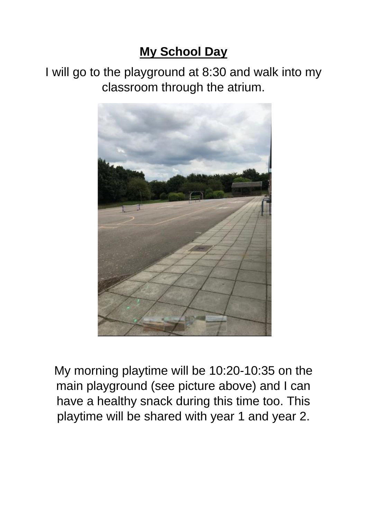## **My School Day**

I will go to the playground at 8:30 and walk into my classroom through the atrium.



My morning playtime will be 10:20-10:35 on the main playground (see picture above) and I can have a healthy snack during this time too. This playtime will be shared with year 1 and year 2.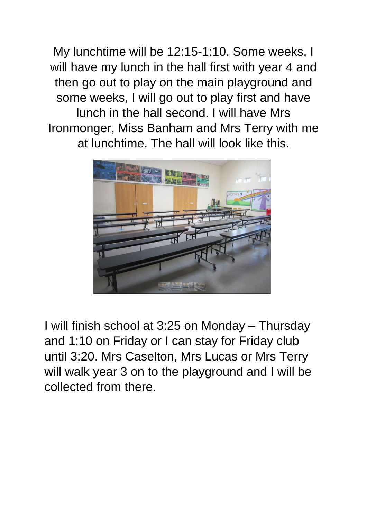My lunchtime will be 12:15-1:10. Some weeks, I will have my lunch in the hall first with year 4 and then go out to play on the main playground and some weeks, I will go out to play first and have lunch in the hall second. I will have Mrs Ironmonger, Miss Banham and Mrs Terry with me at lunchtime. The hall will look like this.



I will finish school at 3:25 on Monday – Thursday and 1:10 on Friday or I can stay for Friday club until 3:20. Mrs Caselton, Mrs Lucas or Mrs Terry will walk year 3 on to the playground and I will be collected from there.